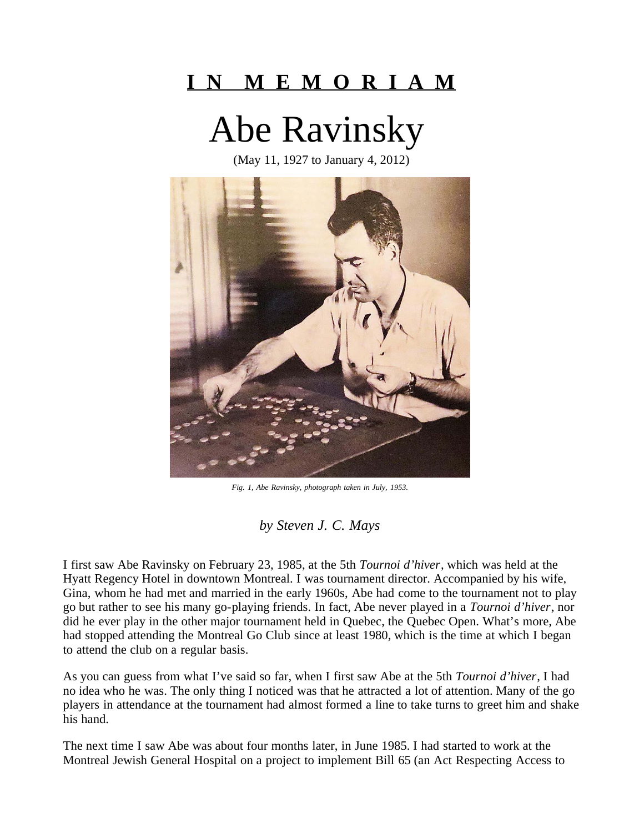## **I N M E M O R I A M**

Abe Ravinsky

(May 11, 1927 to January 4, 2012)



*Fig. 1, Abe Ravinsky, photograph taken in July, 1953.* 

*by Steven J. C. Mays* 

I first saw Abe Ravinsky on February 23, 1985, at the 5th *Tournoi d'hiver*, which was held at the Hyatt Regency Hotel in downtown Montreal. I was tournament director. Accompanied by his wife, Gina, whom he had met and married in the early 1960s, Abe had come to the tournament not to play go but rather to see his many go-playing friends. In fact, Abe never played in a *Tournoi d'hiver*, nor did he ever play in the other major tournament held in Quebec, the Quebec Open. What's more, Abe had stopped attending the Montreal Go Club since at least 1980, which is the time at which I began to attend the club on a regular basis.

As you can guess from what I've said so far, when I first saw Abe at the 5th *Tournoi d'hiver*, I had no idea who he was. The only thing I noticed was that he attracted a lot of attention. Many of the go players in attendance at the tournament had almost formed a line to take turns to greet him and shake his hand.

The next time I saw Abe was about four months later, in June 1985. I had started to work at the Montreal Jewish General Hospital on a project to implement Bill 65 (an Act Respecting Access to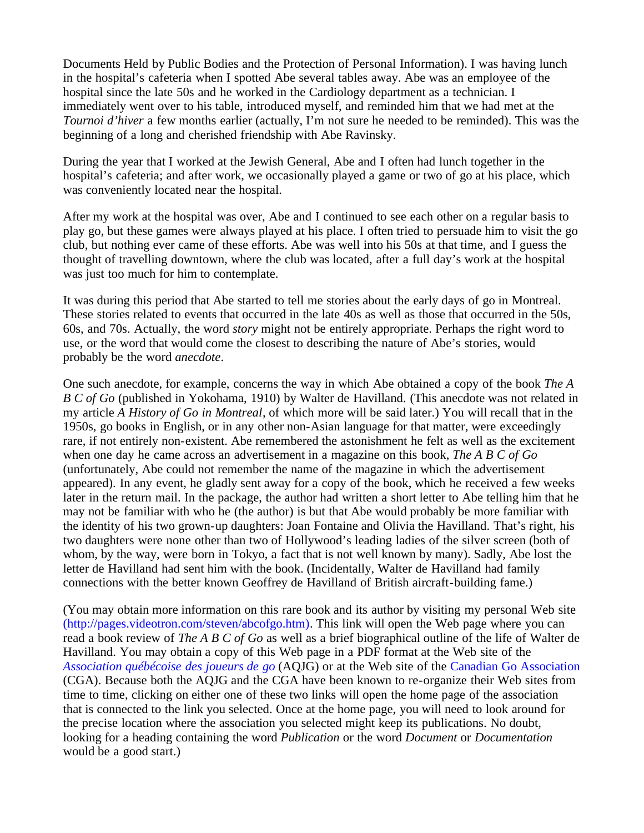Documents Held by Public Bodies and the Protection of Personal Information). I was having lunch in the hospital's cafeteria when I spotted Abe several tables away. Abe was an employee of the hospital since the late 50s and he worked in the Cardiology department as a technician. I immediately went over to his table, introduced myself, and reminded him that we had met at the *Tournoi d'hiver* a few months earlier (actually, I'm not sure he needed to be reminded). This was the beginning of a long and cherished friendship with Abe Ravinsky.

During the year that I worked at the Jewish General, Abe and I often had lunch together in the hospital's cafeteria; and after work, we occasionally played a game or two of go at his place, which was conveniently located near the hospital.

After my work at the hospital was over, Abe and I continued to see each other on a regular basis to play go, but these games were always played at his place. I often tried to persuade him to visit the go club, but nothing ever came of these efforts. Abe was well into his 50s at that time, and I guess the thought of travelling downtown, where the club was located, after a full day's work at the hospital was just too much for him to contemplate.

It was during this period that Abe started to tell me stories about the early days of go in Montreal. These stories related to events that occurred in the late 40s as well as those that occurred in the 50s, 60s, and 70s. Actually, the word *story* might not be entirely appropriate. Perhaps the right word to use, or the word that would come the closest to describing the nature of Abe's stories, would probably be the word *anecdote*.

One such anecdote, for example, concerns the way in which Abe obtained a copy of the book *The A B C of Go* (published in Yokohama, 1910) by Walter de Havilland. (This anecdote was not related in my article *A History of Go in Montreal*, of which more will be said later.) You will recall that in the 1950s, go books in English, or in any other non-Asian language for that matter, were exceedingly rare, if not entirely non-existent. Abe remembered the astonishment he felt as well as the excitement when one day he came across an advertisement in a magazine on this book, *The A B C of Go* (unfortunately, Abe could not remember the name of the magazine in which the advertisement appeared). In any event, he gladly sent away for a copy of the book, which he received a few weeks later in the return mail. In the package, the author had written a short letter to Abe telling him that he may not be familiar with who he (the author) is but that Abe would probably be more familiar with the identity of his two grown-up daughters: Joan Fontaine and Olivia the Havilland. That's right, his two daughters were none other than two of Hollywood's leading ladies of the silver screen (both of whom, by the way, were born in Tokyo, a fact that is not well known by many). Sadly, Abe lost the letter de Havilland had sent him with the book. (Incidentally, Walter de Havilland had family connections with the better known Geoffrey de Havilland of British aircraft-building fame.)

(You may obtain more information on this rare book and its author by visiting my personal Web site [\(http://pages.videotron.com/steven/abcofgo.htm\).](http://pages.videotron.com/steven/abcofgo.htm) This link will open the Web page where you can read a book review of *The A B C of Go* as well as a brief biographical outline of the life of Walter de Havilland. You may obtain a copy of this Web page in a PDF format at the Web site of the *[Association québécoise des joueurs de go](http://www.fqjr.qc.ca/go/index.php)* (AQJG) or at the Web site of the [Canadian Go Association](http://go-canada.org/) (CGA). Because both the AQJG and the CGA have been known to re-organize their Web sites from time to time, clicking on either one of these two links will open the home page of the association that is connected to the link you selected. Once at the home page, you will need to look around for the precise location where the association you selected might keep its publications. No doubt, looking for a heading containing the word *Publication* or the word *Document* or *Documentation* would be a good start.)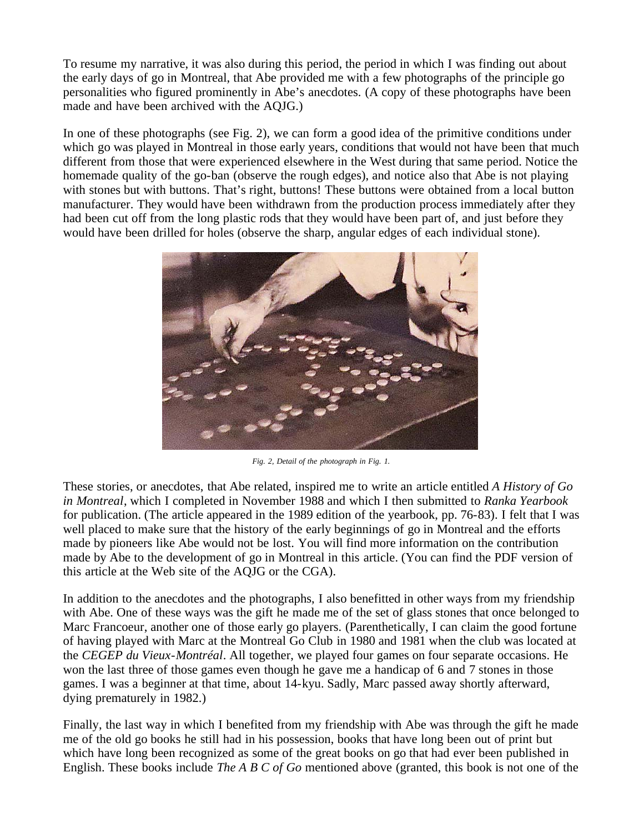To resume my narrative, it was also during this period, the period in which I was finding out about the early days of go in Montreal, that Abe provided me with a few photographs of the principle go personalities who figured prominently in Abe's anecdotes. (A copy of these photographs have been made and have been archived with the AQJG.)

In one of these photographs (see Fig. 2), we can form a good idea of the primitive conditions under which go was played in Montreal in those early years, conditions that would not have been that much different from those that were experienced elsewhere in the West during that same period. Notice the homemade quality of the go-ban (observe the rough edges), and notice also that Abe is not playing with stones but with buttons. That's right, buttons! These buttons were obtained from a local button manufacturer. They would have been withdrawn from the production process immediately after they had been cut off from the long plastic rods that they would have been part of, and just before they would have been drilled for holes (observe the sharp, angular edges of each individual stone).



*Fig. 2, Detail of the photograph in Fig. 1.*

These stories, or anecdotes, that Abe related, inspired me to write an article entitled *A History of Go in Montreal*, which I completed in November 1988 and which I then submitted to *Ranka Yearbook* for publication. (The article appeared in the 1989 edition of the yearbook, pp. 76-83). I felt that I was well placed to make sure that the history of the early beginnings of go in Montreal and the efforts made by pioneers like Abe would not be lost. You will find more information on the contribution made by Abe to the development of go in Montreal in this article. (You can find the PDF version of this article at the Web site of the AQJG or the CGA).

In addition to the anecdotes and the photographs, I also benefitted in other ways from my friendship with Abe. One of these ways was the gift he made me of the set of glass stones that once belonged to Marc Francoeur, another one of those early go players. (Parenthetically, I can claim the good fortune of having played with Marc at the Montreal Go Club in 1980 and 1981 when the club was located at the *CEGEP du Vieux-Montréal*. All together, we played four games on four separate occasions. He won the last three of those games even though he gave me a handicap of 6 and 7 stones in those games. I was a beginner at that time, about 14-kyu. Sadly, Marc passed away shortly afterward, dying prematurely in 1982.)

Finally, the last way in which I benefited from my friendship with Abe was through the gift he made me of the old go books he still had in his possession, books that have long been out of print but which have long been recognized as some of the great books on go that had ever been published in English. These books include *The A B C of Go* mentioned above (granted, this book is not one of the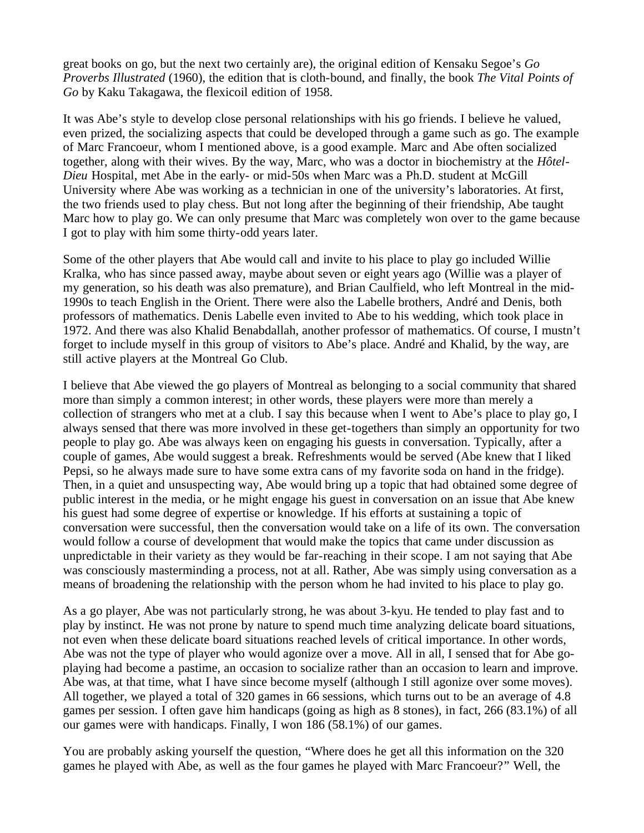great books on go, but the next two certainly are), the original edition of Kensaku Segoe's *Go Proverbs Illustrated* (1960), the edition that is cloth-bound, and finally, the book *The Vital Points of Go* by Kaku Takagawa, the flexicoil edition of 1958.

It was Abe's style to develop close personal relationships with his go friends. I believe he valued, even prized, the socializing aspects that could be developed through a game such as go. The example of Marc Francoeur, whom I mentioned above, is a good example. Marc and Abe often socialized together, along with their wives. By the way, Marc, who was a doctor in biochemistry at the *Hôtel-Dieu* Hospital, met Abe in the early- or mid-50s when Marc was a Ph.D. student at McGill University where Abe was working as a technician in one of the university's laboratories. At first, the two friends used to play chess. But not long after the beginning of their friendship, Abe taught Marc how to play go. We can only presume that Marc was completely won over to the game because I got to play with him some thirty-odd years later.

Some of the other players that Abe would call and invite to his place to play go included Willie Kralka, who has since passed away, maybe about seven or eight years ago (Willie was a player of my generation, so his death was also premature), and Brian Caulfield, who left Montreal in the mid-1990s to teach English in the Orient. There were also the Labelle brothers, André and Denis, both professors of mathematics. Denis Labelle even invited to Abe to his wedding, which took place in 1972. And there was also Khalid Benabdallah, another professor of mathematics. Of course, I mustn't forget to include myself in this group of visitors to Abe's place. André and Khalid, by the way, are still active players at the Montreal Go Club.

I believe that Abe viewed the go players of Montreal as belonging to a social community that shared more than simply a common interest; in other words, these players were more than merely a collection of strangers who met at a club. I say this because when I went to Abe's place to play go, I always sensed that there was more involved in these get-togethers than simply an opportunity for two people to play go. Abe was always keen on engaging his guests in conversation. Typically, after a couple of games, Abe would suggest a break. Refreshments would be served (Abe knew that I liked Pepsi, so he always made sure to have some extra cans of my favorite soda on hand in the fridge). Then, in a quiet and unsuspecting way, Abe would bring up a topic that had obtained some degree of public interest in the media, or he might engage his guest in conversation on an issue that Abe knew his guest had some degree of expertise or knowledge. If his efforts at sustaining a topic of conversation were successful, then the conversation would take on a life of its own. The conversation would follow a course of development that would make the topics that came under discussion as unpredictable in their variety as they would be far-reaching in their scope. I am not saying that Abe was consciously masterminding a process, not at all. Rather, Abe was simply using conversation as a means of broadening the relationship with the person whom he had invited to his place to play go.

As a go player, Abe was not particularly strong, he was about 3-kyu. He tended to play fast and to play by instinct. He was not prone by nature to spend much time analyzing delicate board situations, not even when these delicate board situations reached levels of critical importance. In other words, Abe was not the type of player who would agonize over a move. All in all, I sensed that for Abe goplaying had become a pastime, an occasion to socialize rather than an occasion to learn and improve. Abe was, at that time, what I have since become myself (although I still agonize over some moves). All together, we played a total of 320 games in 66 sessions, which turns out to be an average of 4.8 games per session. I often gave him handicaps (going as high as 8 stones), in fact, 266 (83.1%) of all our games were with handicaps. Finally, I won 186 (58.1%) of our games.

You are probably asking yourself the question, "Where does he get all this information on the 320 games he played with Abe, as well as the four games he played with Marc Francoeur?" Well, the